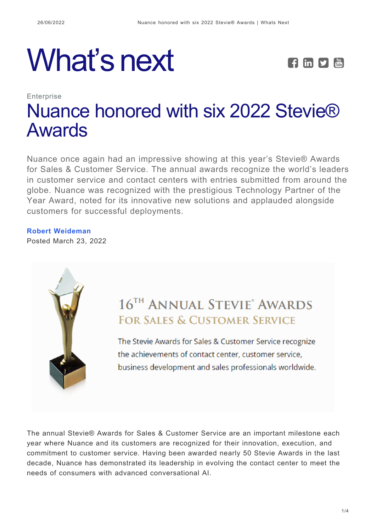# What's next **FEPE**



## **Enterprise** [Nuance honored with six 2022 Stevie®](https://whatsnext.nuance.com/enterprise/nuance-wins-six-2022-stevie-american-business-awards/) [Awards](https://whatsnext.nuance.com/enterprise/nuance-wins-six-2022-stevie-american-business-awards/)

Nuance once again had an impressive showing at this year's Stevie® Awards for Sales & Customer Service. The annual awards recognize the world's leaders in customer service and contact centers with entries submitted from around the globe. Nuance was recognized with the prestigious Technology Partner of the Year Award, noted for its innovative new solutions and applauded alongside customers for successful deployments.

### **[Robert Weideman](https://whatsnext.nuance.com/author/robert-weideman/)**

Posted March 23, 2022



## 16<sup>TH</sup> ANNUAL STEVIE<sup>®</sup> AWARDS **FOR SALES & CUSTOMER SERVICE**

The Stevie Awards for Sales & Customer Service recognize the achievements of contact center, customer service, business development and sales professionals worldwide.

The annual Stevie® Awards for Sales & Customer Service are an important milestone each year where Nuance and its customers are recognized for their innovation, execution, and commitment to customer service. Having been awarded nearly 50 Stevie Awards in the last decade, Nuance has demonstrated its leadership in evolving the contact center to meet the needs of consumers with advanced conversational AI.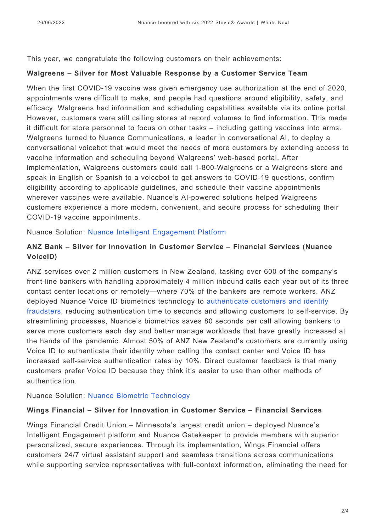This year, we congratulate the following customers on their achievements:

#### **Walgreens – Silver for Most Valuable Response by a Customer Service Team**

When the first COVID-19 vaccine was given emergency use authorization at the end of 2020, appointments were difficult to make, and people had questions around eligibility, safety, and efficacy. Walgreens had information and scheduling capabilities available via its online portal. However, customers were still calling stores at record volumes to find information. This made it difficult for store personnel to focus on other tasks – including getting vaccines into arms. Walgreens turned to Nuance Communications, a leader in conversational AI, to deploy a conversational voicebot that would meet the needs of more customers by extending access to vaccine information and scheduling beyond Walgreens' web-based portal. After implementation, Walgreens customers could call 1-800-Walgreens or a Walgreens store and speak in English or Spanish to a voicebot to get answers to COVID-19 questions, confirm eligibility according to applicable guidelines, and schedule their vaccine appointments wherever vaccines were available. Nuance's AI-powered solutions helped Walgreens customers experience a more modern, convenient, and secure process for scheduling their COVID-19 vaccine appointments.

Nuance Solution: [Nuance Intelligent Engagement Platform](https://www.nuance.com/omni-channel-customer-engagement.html)

#### **ANZ Bank – Silver for Innovation in Customer Service – Financial Services (Nuance VoiceID)**

ANZ services over 2 million customers in New Zealand, tasking over 600 of the company's front-line bankers with handling approximately 4 million inbound calls each year out of its three contact center locations or remotely—where 70% of the bankers are remote workers. ANZ deployed Nuance Voice ID biometrics technology to [authenticate customers and identify](https://whatsnext.nuance.com/en-au/enterprise/anz-bank-creates-intuitive-experiences-with-ivr/) [fraudsters,](https://whatsnext.nuance.com/en-au/enterprise/anz-bank-creates-intuitive-experiences-with-ivr/) reducing authentication time to seconds and allowing customers to self-service. By streamlining processes, Nuance's biometrics saves 80 seconds per call allowing bankers to serve more customers each day and better manage workloads that have greatly increased at the hands of the pandemic. Almost 50% of ANZ New Zealand's customers are currently using Voice ID to authenticate their identity when calling the contact center and Voice ID has increased self-service authentication rates by 10%. Direct customer feedback is that many customers prefer Voice ID because they think it's easier to use than other methods of authentication.

Nuance Solution: [Nuance Biometric Technology](https://www.nuance.com/omni-channel-customer-engagement/authentication-and-fraud-prevention.html)

#### **Wings Financial – Silver for Innovation in Customer Service – Financial Services**

Wings Financial Credit Union – Minnesota's largest credit union – deployed Nuance's Intelligent Engagement platform and Nuance Gatekeeper to provide members with superior personalized, secure experiences. Through its implementation, Wings Financial offers customers 24/7 virtual assistant support and seamless transitions across communications while supporting service representatives with full-context information, eliminating the need for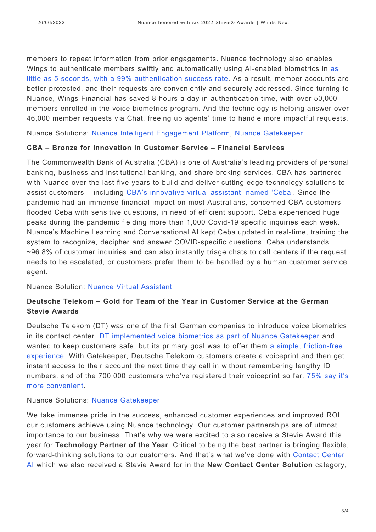members to repeat information from prior engagements. Nuance technology also enables Wings to authenticate members swiftly and automatically using AI-enabled biometrics in [as](https://www.nuance.com/omni-channel-customer-engagement/authentication-and-fraud-prevention/gatekeeper.html) [little as 5 seconds, with a 99% authentication success rate](https://www.nuance.com/omni-channel-customer-engagement/authentication-and-fraud-prevention/gatekeeper.html). As a result, member accounts are better protected, and their requests are conveniently and securely addressed. Since turning to Nuance, Wings Financial has saved 8 hours a day in authentication time, with over 50,000 members enrolled in the voice biometrics program. And the technology is helping answer over 46,000 member requests via Chat, freeing up agents' time to handle more impactful requests.

Nuance Solutions: [Nuance Intelligent Engagement Platform](https://www.nuance.com/omni-channel-customer-engagement.html), [Nuance Gatekeeper](https://www.nuance.com/omni-channel-customer-engagement/authentication-and-fraud-prevention/gatekeeper.html)

#### **CBA** – **Bronze for Innovation in Customer Service – Financial Services**

The Commonwealth Bank of Australia (CBA) is one of Australia's leading providers of personal banking, business and institutional banking, and share broking services. CBA has partnered with Nuance over the last five years to build and deliver cutting edge technology solutions to assist customers – including [CBA's innovative virtual assistant, named 'Ceba'](https://whatsnext.nuance.com/en-au/enterprise/nuance-and-commonwealth-bank-of-australias-virtual-assistant-ceba-wins-apac-stevie-award/). Since the pandemic had an immense financial impact on most Australians, concerned CBA customers flooded Ceba with sensitive questions, in need of efficient support. Ceba experienced huge peaks during the pandemic fielding more than 1,000 Covid-19 specific inquiries each week. Nuance's Machine Learning and Conversational AI kept Ceba updated in real-time, training the system to recognize, decipher and answer COVID-specific questions. Ceba understands ~96.8% of customer inquiries and can also instantly triage chats to call centers if the request needs to be escalated, or customers prefer them to be handled by a human customer service agent.

Nuance Solution: [Nuance Virtual Assistant](https://www.nuance.com/omni-channel-customer-engagement/digital-and-messaging-solutions/virtual-assistant-and-chatbot.html)

#### **Deutsche Telekom – Gold for Team of the Year in Customer Service at the German Stevie Awards**

Deutsche Telekom (DT) was one of the first German companies to introduce voice biometrics in its contact center. [DT implemented voice biometrics as part of Nuance Gatekeeper](https://stevieawards.com/gsa/gewinner-der-german-stevie%C2%AE-awards-2022#Kundenservice) and wanted to keep customers safe, but its primary goal was to offer them [a simple, friction-free](https://www.nuance.com/omni-channel-customer-engagement/case-studies/deutsche-telekom-creates-secure-experiences-with-nuance.html) [experience.](https://www.nuance.com/omni-channel-customer-engagement/case-studies/deutsche-telekom-creates-secure-experiences-with-nuance.html) With Gatekeeper, Deutsche Telekom customers create a voiceprint and then get instant access to their account the next time they call in without remembering lengthy ID numbers, and of the 700,000 customers who've registered their voiceprint so far, [75% say it's](https://www.nuance.com/omni-channel-customer-engagement/case-studies/deutsche-telekom-creates-secure-experiences-with-nuance.html) [more convenient](https://www.nuance.com/omni-channel-customer-engagement/case-studies/deutsche-telekom-creates-secure-experiences-with-nuance.html).

Nuance Solutions: [Nuance Gatekeeper](https://www.nuance.com/omni-channel-customer-engagement/authentication-and-fraud-prevention/gatekeeper.html)

We take immense pride in the success, enhanced customer experiences and improved ROI our customers achieve using Nuance technology. Our customer partnerships are of utmost importance to our business. That's why we were excited to also receive a Stevie Award this year for **Technology Partner of the Year**. Critical to being the best partner is bringing flexible, forward-thinking solutions to our customers. And that's what we've done with [Contact Center](https://www.nuance.com/omni-channel-customer-engagement/contact-center-ai.html) [AI](https://www.nuance.com/omni-channel-customer-engagement/contact-center-ai.html) which we also received a Stevie Award for in the **New Contact Center Solution** category,